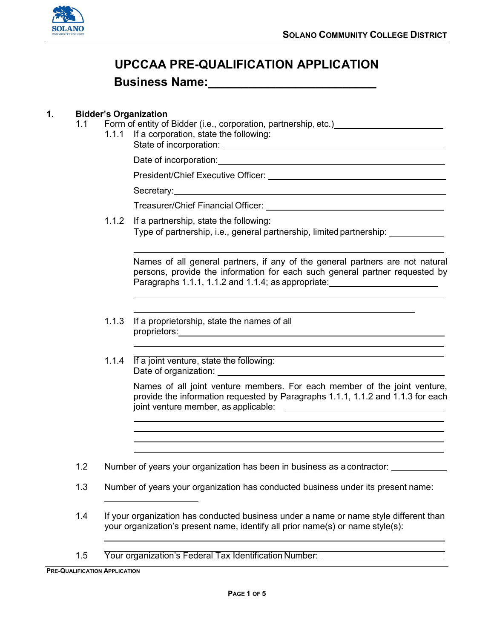

# **UPCCAA PRE-QUALIFICATION APPLICATION**

## **Business Name:\_\_\_\_\_\_\_\_\_\_\_\_\_\_\_\_\_\_\_\_\_\_\_\_\_**

### **1. Bidder's Organization**

- 1.1 Form of entity of Bidder (i.e., corporation, partnership, etc.)
	- 1.1.1 If a corporation, state the following: State of incorporation:

Date of incorporation:

President/Chief Executive Officer: Network and the executive officer:

Secretary: <u>example and the secretary:</u> and the secretary:

Treasurer/Chief Financial Officer:

1.1.2 If a partnership, state the following: Type of partnership, i.e., general partnership, limited partnership:

Names of all general partners, if any of the general partners are not natural persons, provide the information for each such general partner requested by Paragraphs 1.1.1, 1.1.2 and 1.1.4; as appropriate:

- 1.1.3 If a proprietorship, state the names of all proprietors: which is a set of the set of the set of the set of the set of the set of the set of the set of the set of the set of the set of the set of the set of the set of the set of the set of the set of the set of the
- 1.1.4 If a joint venture, state the following: Date of organization:

Names of all joint venture members. For each member of the joint venture, provide the information requested by Paragraphs 1.1.1, 1.1.2 and 1.1.3 for each joint venture member, as applicable:

1.2 Number of years your organization has been in business as acontractor:

- 1.3 Number of years your organization has conducted business under its present name:
- 1.4 If your organization has conducted business under a name or name style different than your organization's present name, identify all prior name(s) or name style(s):
- 1.5 Your organization's Federal Tax Identification Number: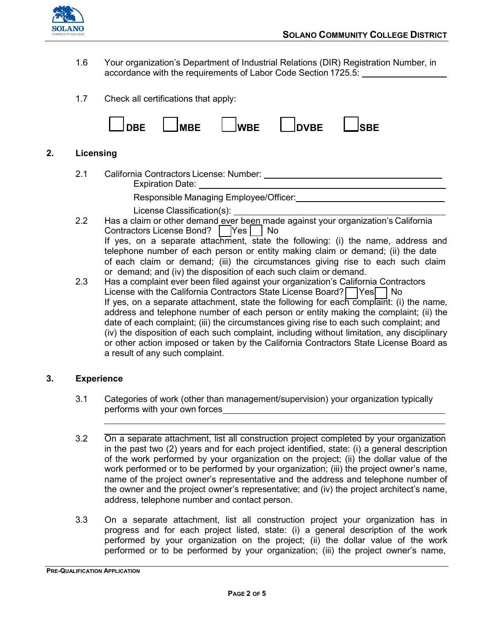

- 1.6 Your organization's Department of Industrial Relations (DIR) Registration Number, in accordance with the requirements of Labor Code Section 1725.5:
- 1.7 Check all certifications that apply:



#### **2. Licensing**

2.1 California Contractors License: Number: Expiration Date:

Responsible Managing Employee/Officer:

License Classification(s):

- 2.2 Has a claim or other demand ever been made against your organization's California Contractors License Bond? Yes | No If yes, on a separate attachment, state the following: (i) the name, address and telephone number of each person or entity making claim or demand; (ii) the date of each claim or demand; (iii) the circumstances giving rise to each such claim or demand; and (iv) the disposition of each such claim or demand.
- 2.3 Has a complaint ever been filed against your organization's California Contractors License with the California Contractors State License Board? Yes No If yes, on a separate attachment, state the following for each complaint: (i) the name. address and telephone number of each person or entity making the complaint; (ii) the date of each complaint; (iii) the circumstances giving rise to each such complaint; and (iv) the disposition of each such complaint, including without limitation, any disciplinary or other action imposed or taken by the California Contractors State License Board as a result of any such complaint.

#### **3. Experience**

- 3.1 Categories of work (other than management/supervision) your organization typically performs with your own forces
- 3.2 On a separate attachment, list all construction project completed by your organization in the past two (2) years and for each project identified, state: (i) a general description of the work performed by your organization on the project; (ii) the dollar value of the work performed or to be performed by your organization; (iii) the project owner's name, name of the project owner's representative and the address and telephone number of the owner and the project owner's representative; and (iv) the project architect's name, address, telephone number and contact person.
- 3.3 On a separate attachment, list all construction project your organization has in progress and for each project listed, state: (i) a general description of the work performed by your organization on the project; (ii) the dollar value of the work performed or to be performed by your organization; (iii) the project owner's name,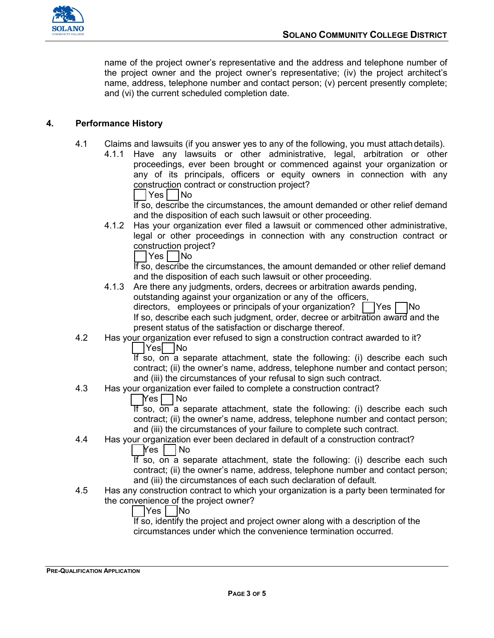

name of the project owner's representative and the address and telephone number of the project owner and the project owner's representative; (iv) the project architect's name, address, telephone number and contact person; (v) percent presently complete; and (vi) the current scheduled completion date.

#### **4. Performance History**

- 4.1 Claims and lawsuits (if you answer yes to any of the following, you must attachdetails).
	- 4.1.1 Have any lawsuits or other administrative, legal, arbitration or other proceedings, ever been brought or commenced against your organization or any of its principals, officers or equity owners in connection with any construction contract or construction project?

\_\_|Yes |\_\_|No

If so, describe the circumstances, the amount demanded or other relief demand and the disposition of each such lawsuit or other proceeding.

4.1.2 Has your organization ever filed a lawsuit or commenced other administrative, legal or other proceedings in connection with any construction contract or construction project?

|Yes | |No

If so, describe the circumstances, the amount demanded or other relief demand and the disposition of each such lawsuit or other proceeding.

 $\mid$ Yes  $\sqcap$ No 4.1.3 Are there any judgments, orders, decrees or arbitration awards pending, outstanding against your organization or any of the officers, directors, employees or principals of your organization?  $\vert$ If so, describe each such judgment, order, decree or arbitration award and the

present status of the satisfaction or discharge thereof.

4.2 Has your organization ever refused to sign a construction contract awarded to it?

|Yes| |No

If so, on a separate attachment, state the following: (i) describe each such contract; (ii) the owner's name, address, telephone number and contact person; and (iii) the circumstances of your refusal to sign such contract.

4.3 Has your organization ever failed to complete a construction contract?

 $\bigcap$ Yes  $\bigcap$  No

If so, on a separate attachment, state the following: (i) describe each such contract; (ii) the owner's name, address, telephone number and contact person; and (iii) the circumstances of your failure to complete such contract.

4.4 Has your organization ever been declared in default of a construction contract?

Yes I INo

If so, on a separate attachment, state the following: (i) describe each such contract; (ii) the owner's name, address, telephone number and contact person; and (iii) the circumstances of each such declaration of default.

4.5 Has any construction contract to which your organization is a party been terminated for the convenience of the project owner?

|Yes | |No

If so, identify the project and project owner along with a description of the circumstances under which the convenience termination occurred.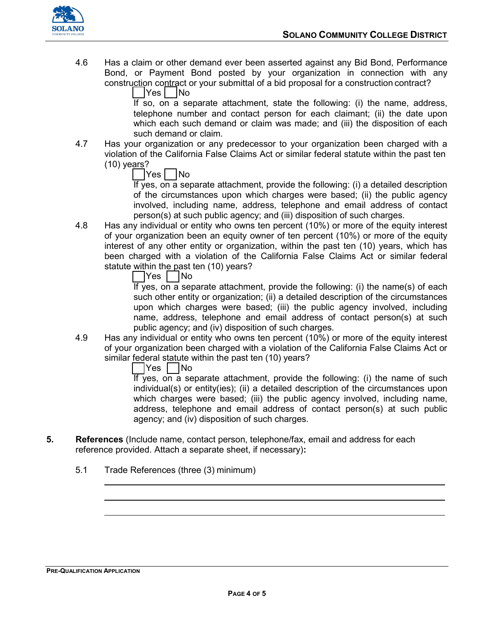

4.6 Has a claim or other demand ever been asserted against any Bid Bond, Performance Bond, or Payment Bond posted by your organization in connection with any construction contract or your submittal of a bid proposal for a construction contract?

\_\_ \_\_ Yes No

If so, on a separate attachment, state the following: (i) the name, address, telephone number and contact person for each claimant; (ii) the date upon which each such demand or claim was made; and (iii) the disposition of each such demand or claim.

4.7 Has your organization or any predecessor to your organization been charged with a violation of the California False Claims Act or similar federal statute within the past ten (10) years?

|Yes | |No

If yes, on a separate attachment, provide the following: (i) a detailed description of the circumstances upon which charges were based; (ii) the public agency involved, including name, address, telephone and email address of contact person(s) at such public agency; and (iii) disposition of such charges.

4.8 Has any individual or entity who owns ten percent (10%) or more of the equity interest of your organization been an equity owner of ten percent (10%) or more of the equity interest of any other entity or organization, within the past ten (10) years, which has been charged with a violation of the California False Claims Act or similar federal statute within the past ten (10) years?

|Yes | |No

If yes, on a separate attachment, provide the following: (i) the name(s) of each such other entity or organization; (ii) a detailed description of the circumstances upon which charges were based; (iii) the public agency involved, including name, address, telephone and email address of contact person(s) at such public agency; and (iv) disposition of such charges.

4.9 Has any individual or entity who owns ten percent (10%) or more of the equity interest of your organization been charged with a violation of the California False Claims Act or similar federal statute within the past ten (10) years?

|Yes | |No

If yes, on a separate attachment, provide the following: (i) the name of such individual(s) or entity(ies); (ii) a detailed description of the circumstances upon which charges were based; (iii) the public agency involved, including name, address, telephone and email address of contact person(s) at such public agency; and (iv) disposition of such charges.

- **5. References** (Include name, contact person, telephone/fax, email and address for each reference provided. Attach a separate sheet, if necessary)**:**
	- 5.1 Trade References (three (3) minimum)